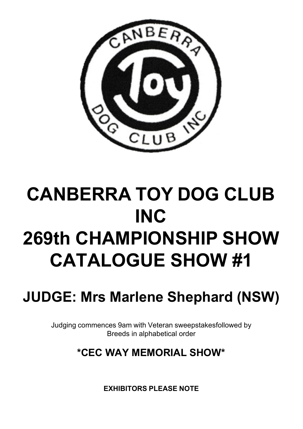

# **CANBERRA TOY DOG CLUB INC 269th CHAMPIONSHIP SHOW CATALOGUE SHOW #1**

**JUDGE: Mrs Marlene Shephard (NSW)**

Judging commences 9am with Veteran sweepstakesfollowed by Breeds in alphabetical order

## **\*CEC WAY MEMORIAL SHOW\***

**EXHIBITORS PLEASE NOTE**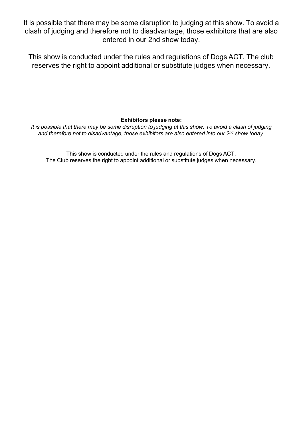It is possible that there may be some disruption to judging at this show. To avoid a clash of judging and therefore not to disadvantage, those exhibitors that are also entered in our 2nd show today.

This show is conducted under the rules and regulations of Dogs ACT. The club reserves the right to appoint additional or substitute judges when necessary.

**Exhibitors please note:**

It is possible that there may be some disruption to judging at this show. To avoid a clash of judging *and therefore not to disadvantage, those exhibitors are also entered into our 2nd show today.*

This show is conducted under the rules and regulations of Dogs ACT. The Club reserves the right to appoint additional or substitute judges when necessary.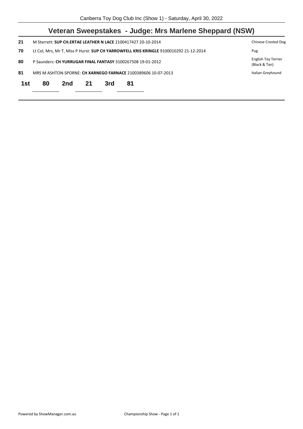| Veteran Sweepstakes - Judge: Mrs Marlene Sheppard (NSW)                                     |                                             |    |     |    |                                                                                                                                                                                                                       |  |  |  |
|---------------------------------------------------------------------------------------------|---------------------------------------------|----|-----|----|-----------------------------------------------------------------------------------------------------------------------------------------------------------------------------------------------------------------------|--|--|--|
| M Sterrett: SUP CH.ERTAE LEATHER N LACE 2100417427 20-10-2014<br><b>Chinese Crested Dog</b> |                                             |    |     |    |                                                                                                                                                                                                                       |  |  |  |
|                                                                                             | Pug                                         |    |     |    |                                                                                                                                                                                                                       |  |  |  |
|                                                                                             | <b>English Toy Terrier</b><br>(Black & Tan) |    |     |    |                                                                                                                                                                                                                       |  |  |  |
|                                                                                             | Italian Greyhound                           |    |     |    |                                                                                                                                                                                                                       |  |  |  |
| 80                                                                                          | 2nd                                         | 21 | 3rd | 81 |                                                                                                                                                                                                                       |  |  |  |
|                                                                                             |                                             |    |     |    | Lt Col, Mrs, Mr T, Miss P Hurst: SUP CH YARROWFELL KRIS KRINGLE 9100010292 21-12-2014<br>P Saunders: CH YURRUGAR FINAL FANTASY 3100267508 19-01-2012<br>MRS M ASHTON-SPORNE: CH XARNEGO FARNACE 2100389606 10-07-2013 |  |  |  |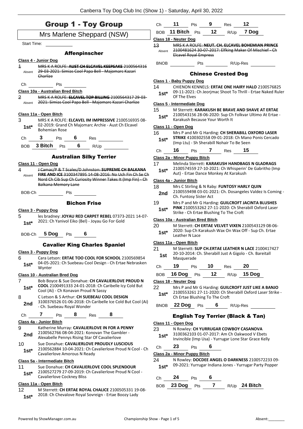|                         | <b>Group 1 - Toy Group</b>                                                                                           |              | Ch 11 Pts 9 Res                   |                                |              |                                            | 12                                                                                                                           |
|-------------------------|----------------------------------------------------------------------------------------------------------------------|--------------|-----------------------------------|--------------------------------|--------------|--------------------------------------------|------------------------------------------------------------------------------------------------------------------------------|
|                         | Mrs Marlene Sheppard (NSW)                                                                                           |              | BOB 11 Bitch Pts                  |                                | 12           |                                            | $R/Up$ 7 Dog                                                                                                                 |
| Start Time:             |                                                                                                                      |              | Class 18 - Neuter Dog             |                                |              |                                            |                                                                                                                              |
|                         |                                                                                                                      | 13           |                                   |                                |              |                                            | MRS K A ROLFE: NEUT. CH. ELCAVEL BOHEMIAN PRINCE<br>Absent 2100481624 30 07 2017: Elfking Maker Of Mischief Ch               |
|                         | <b>Affenpinscher</b>                                                                                                 |              |                                   | <b>Elcavel Royal Empress</b>   |              |                                            |                                                                                                                              |
|                         | Class 4 - Junior Dog                                                                                                 |              |                                   |                                |              |                                            |                                                                                                                              |
| $\overline{\mathbf{1}}$ | MRS K A ROLFE: AUST CH ELCAVEL KEEPSAKE 2100564316<br>29 03 2021: Simias Cool Papa Bell Majomarc Kazari              |              |                                   |                                |              |                                            |                                                                                                                              |
| Absent                  | Charlize                                                                                                             |              |                                   |                                |              | <b>Chinese Crested Dog</b>                 |                                                                                                                              |
| Ch                      | Pts                                                                                                                  |              | Class 1 - Baby Puppy Dog          |                                |              |                                            |                                                                                                                              |
|                         | Class 10a - Australian Bred Bitch                                                                                    | 14           |                                   |                                |              |                                            | CHIENON KENNELS: ERTAE ONE HAIRY HALO 2100576825                                                                             |
| $\overline{2}$          | MRS K A ROLFE: ELCAVEL TOP BILLING 2100564317 29 03<br>2021: Simias Cool Papa Bell - Majomarc Kazari Charlize        | $1st^*$      | Of The Elves                      |                                |              |                                            | 09-11-2021: Ch Jeorimac Shoot To Thrill - Ertae Naked Ruler                                                                  |
| Absent                  |                                                                                                                      |              | <b>Class 5 - Intermediate Dog</b> |                                |              |                                            |                                                                                                                              |
|                         | Class 11a - Open Bitch                                                                                               | 15           |                                   |                                |              |                                            | M Sterrett: KARAKUSH BE BRAVE AND SHAVE AT ERTAE<br>2100543156 28-06-2020: Sup Ch Folkvar Ultimo At Ertae -                  |
| 3                       | MRS K A ROLFE: ELCAVEL IM IMPRESSIVE 2100516935 08-                                                                  | $1st^*$      |                                   | Karakush Because Your Worth It |              |                                            |                                                                                                                              |
| $1st^*$                 | 02-2019: Grand Ch Majomarc Archie - Aust Ch Elcavel                                                                  |              | Class 11 - Open Dog               |                                |              |                                            |                                                                                                                              |
|                         | <b>Bohemian Rose</b>                                                                                                 | 16           |                                   |                                |              |                                            | Mrs P and Mr G Harding: CH SHERABILL OXFORD LASER                                                                            |
| Ch                      | 3 Pts 6 Res                                                                                                          | $1st^*$      |                                   |                                |              |                                            | <b>STRIKE 4100302558 09-01-2018: Ch Mano Ponis Cercado</b>                                                                   |
|                         | BOB 3 Bitch Pts 6 R/Up                                                                                               |              |                                   |                                |              | (Imp Ltu) - Sh Sherabill Nohair To Be Seen |                                                                                                                              |
|                         |                                                                                                                      | Ch           |                                   |                                |              | <b>16</b> Pts <b>7</b> Res <b>15</b>       |                                                                                                                              |
|                         | <b>Australian Silky Terrier</b>                                                                                      |              | Class 2a - Minor Puppy Bitch      |                                |              |                                            |                                                                                                                              |
|                         | Class 11 - Open Dog                                                                                                  | 17           |                                   |                                |              |                                            | Melinda Sterrett: KARAKUSH HANDBAGS N GLADRAGS                                                                               |
| 4                       | J Camac/P & T Scales/D Johnston: SUPREME CH BALKANA                                                                  | $1st*$       |                                   |                                |              | Aut) - Ertae Dance Monkey At Karakush      | 2100574559 27-10-2021: Ch Whisperin' De Gabritho (Imp                                                                        |
| Absent                  | FIRE AND ICE 3100347895 14-08-2016: No Uch Fin Ch Se Ch<br>Nord Ch Cib Sup Ch Curiosity Winner Takes It (Imp Fin) Ch |              | Class 4a - Junior Bitch           |                                |              |                                            |                                                                                                                              |
|                         | Balkana Memory Lane                                                                                                  | 18           |                                   |                                |              |                                            | Mrs C Stirling & N Raby: FUNTOSY HARLY QUIN                                                                                  |
|                         | BOB-Ch Pts                                                                                                           | 2nd          |                                   | Ch. Funtosy Sister Act         |              |                                            | 2100559498 03-01-2021: Ch. Dosangeles Valdez Is Coming -                                                                     |
|                         | <b>Bichon Frise</b>                                                                                                  | 19           |                                   |                                |              |                                            | Mrs P and Mr G Harding: GUILCROFT JACINTA BLUSHES                                                                            |
|                         | Class 3 - Puppy Dog                                                                                                  | $1st*$       |                                   |                                |              |                                            | PINK 2100553262 27-11-2020: Ch Sherabill Oxford Laser                                                                        |
| 5                       | les bradney: JOYAU RED CARPET REBEL 07373-2021 14-07-                                                                |              |                                   |                                |              | Strike - Ch Ertae Blushing To The Croft    |                                                                                                                              |
| $1st*$                  | 2021: Ch Yanivol Eiko (Bel) - Joyau Go For Gold                                                                      |              | Class 10a - Australian Bred Bitch |                                |              |                                            |                                                                                                                              |
|                         |                                                                                                                      | 20           |                                   |                                |              |                                            | M Sterrett: CH ERTAE VELVET VIXEN 2100543129 08-06-<br>2020: Sup Ch Karakush Wax On Wax Off - Sup Ch. Ertae                  |
|                         | BOB-Ch 5 Dog Pts 6                                                                                                   | $1st^*$      |                                   | Leather N Lace                 |              |                                            |                                                                                                                              |
|                         |                                                                                                                      |              | Class 11a - Open Bitch            |                                |              |                                            |                                                                                                                              |
|                         | <b>Cavalier King Charles Spaniel</b>                                                                                 | 21           |                                   |                                |              |                                            | M Sterrett: SUP CH.ERTAE LEATHER N LACE 2100417427                                                                           |
|                         | Class 3 - Puppy Dog                                                                                                  | 1st          |                                   |                                |              |                                            | 20-10-2014: Ch. Sherabill Just A Gigolo - Ch. Bareitall                                                                      |
| 6                       | Cara Letson: ERTAE TOO COOL FOR SCHOOL 2100569854<br>04-05-2021: Ch Suebeau Cool Design - Ch Ertae Nebrasken         |              | Masquerade                        |                                |              |                                            |                                                                                                                              |
| $1st*$                  | Wynter                                                                                                               | Ch           | 19                                | Pts                            | 10           | Res                                        | 20                                                                                                                           |
|                         | Class 10 - Australian Bred Dog                                                                                       | <b>BOB</b>   | 16 Dog                            | Pts                            | 12           |                                            | $R/Up$ 15 Dog                                                                                                                |
| 7                       | Bob Boyce & Sue Donahue: CH CAVALIERLOVE PROUD N                                                                     |              | Class 18 - Neuter Dog             |                                |              |                                            |                                                                                                                              |
|                         | <b>COOL</b> 2100491333 24-01-2018: Ch Caribelle Icy Cold But                                                         | 22           |                                   |                                |              |                                            | Mrs P and Mr G Harding: GUILCROFT JUST LIKE A BANJO                                                                          |
| $1st^*$                 | Cool (Ai) - Ch Konavan Proud N Sassy                                                                                 |              |                                   |                                |              |                                            | 2100553261 27-11-2020: Ch Sherabill Oxford Laser Strike -                                                                    |
|                         |                                                                                                                      | $1st*$       |                                   |                                |              |                                            |                                                                                                                              |
|                         | C Letson & S Arthur: CH SUEBEAU COOL DESIGN                                                                          |              |                                   | Ch Ertae Blushing To The Croft |              |                                            |                                                                                                                              |
| 2nd                     | 3100376526 01-06-2018: Ch Caribelle Ice Cold But Cool (Ai)<br>- Ch. Suebeau Royal Wonder                             |              | BNOB 22 Dog Pts                   |                                | 6            |                                            | R/Up-Res                                                                                                                     |
|                         |                                                                                                                      |              |                                   |                                |              |                                            |                                                                                                                              |
| Ch                      | 8<br>7<br>8<br>Pts<br>Res                                                                                            |              |                                   |                                |              |                                            | <b>English Toy Terrier (Black &amp; Tan)</b>                                                                                 |
|                         | Class 4a - Junior Bitch<br>Katherine Murray: CAVALIERLOVE IN FOR A PENNY                                             |              | Class 11 - Open Dog               |                                |              |                                            |                                                                                                                              |
| 8<br>9<br>2nd           | 2100562766 08-04-2021: Konovan The Gambler -<br>Alexabelle Pennys Rising Star Of Cavalierlove                        | 23<br>$1st*$ |                                   |                                |              |                                            | N Rowley: CH YURRUGAR COWBOY CASANOVA<br>3100362103 01-07-2017: Am Ch Oakwood V Ebets                                        |
| 10                      | Sue Donahue: CAVALIERLOVE PROUDLY LUSCIOUS                                                                           |              |                                   |                                |              |                                            | Invincible (Imp Usa) - Yurrugar Lone Star Grace Kelly                                                                        |
| $1st*$                  | 2100562884 10-04-2021: Ch Cavalierlove Proud N Cool - Ch                                                             | Ch           | 23                                | Pts                            | 6            |                                            |                                                                                                                              |
|                         | Cavalierlove Amorous N Ready                                                                                         |              | Class 2a - Minor Puppy Bitch      |                                |              |                                            |                                                                                                                              |
|                         | Class 5a - Intermediate Bitch                                                                                        | 24           |                                   |                                |              |                                            |                                                                                                                              |
| $1st*$                  | Sue Donahue: CH CAVALIERLOVE COOL SPLENDOUR<br>2100527279 27-09-2019: Ch Cavalierlove Proud N Cool -                 | $1st*$       |                                   |                                |              |                                            |                                                                                                                              |
|                         | Cavalierlove Cockney Bliss                                                                                           | Ch           | 24                                | Pts                            | 6            |                                            |                                                                                                                              |
| 11<br>12                | Class 11a - Open Bitch<br>M Sterrett: CH ERTAE ROYAL CHALICE 2100505331 19-08-                                       | <b>BOB</b>   | 23 Dog                            | Pts                            | $\mathbf{7}$ |                                            | N Rowley: DOCDEE ANGEL O DARKNESS 2100572233 09-<br>09-2021: Yurrugar Indiana Jones - Yurrugar Party Popper<br>R/Up 24 Bitch |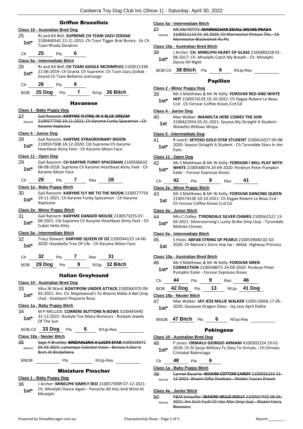## Griffon Bruxellois

|                          | <b>Class 10 - Australian Bred Dog</b> |            |                      |                          |                                                                                                                  |
|--------------------------|---------------------------------------|------------|----------------------|--------------------------|------------------------------------------------------------------------------------------------------------------|
| 25                       |                                       |            |                      |                          | RJ and KA Bell: SUPREME CH TZANI ZAZU ZODIAK                                                                     |
| 1st*                     | Tzani Rhoda Dendron                   |            |                      |                          | 2100440541 22-11-2015: Ch Tzani Tigger Brat Bunny - Gr Ch                                                        |
|                          |                                       |            |                      |                          |                                                                                                                  |
| Сh                       | 25                                    | <b>Pts</b> | 6                    |                          |                                                                                                                  |
|                          | <u> Class 5a - Intermediate Bitch</u> |            |                      |                          |                                                                                                                  |
| 26                       |                                       |            |                      |                          | RJ and KA Bell: CH TZANI GIGGLE MCDIMPLES 2100521338<br>21-06-2019: Ch Grand. Ch Supreme. Ch Tzani Zazu Zodiak - |
| $1st^*$                  | Grand Ch Tzani Bellatrix Lestrange    |            |                      |                          |                                                                                                                  |
| Сh                       | - 26                                  | Pts        | 6                    |                          |                                                                                                                  |
| BOB.                     | 25 Dog Pts                            |            | $\mathbf{7}$         |                          | R/Up 26 Bitch                                                                                                    |
|                          |                                       |            | <b>Havanese</b>      |                          |                                                                                                                  |
|                          | <u> Class 1 - Baby Puppy Dog</u>      |            |                      |                          |                                                                                                                  |
| 27<br>Absent             | Karyme Xxplosive                      |            |                      |                          | Gail Ransom: KARYME FLYING IN A BLUE DREAM<br>2100577760 19-11-2021: Ch Karyme Funky Spaceman - Ch               |
|                          | Class 4 - Junior Dog                  |            |                      |                          |                                                                                                                  |
| 28                       |                                       |            |                      |                          | Gail Ransom: KARYME XTRAORDINARY MOON                                                                            |
| 1st*                     |                                       |            |                      |                          | 2100557508 18-12-2020: Cib Supreme Ch Karyme<br>Heartbeat Atmy Feet - Ch Karyme Moon Face                        |
|                          | Class 11 - Open Dog                   |            |                      |                          |                                                                                                                  |
| 29                       |                                       |            |                      |                          | Gail Ransom: CH KARYME FUNKY SPACEMAN 2100506632                                                                 |
| 1st*                     |                                       |            |                      |                          | 08-08-2018: Supreme Ch Karyme Heartbeat Atmy Feet - Ch                                                           |
|                          | Karyme Moon Face                      |            |                      |                          |                                                                                                                  |
| Сh                       | 29                                    | Pts        | <b>7</b>             | Res                      | 28                                                                                                               |
|                          | Class 1a - Baby Puppy Bitch           |            |                      |                          |                                                                                                                  |
| 30                       |                                       |            |                      |                          | Gail Ransom: KARYME FLY ME TO THE MOON 2100577759                                                                |
| 1st*                     | Xxplosive                             |            |                      |                          | 19-11-2021: Ch Karyme Funky Spaceman - Ch Karyme                                                                 |
|                          | Class 2a - Minor Puppy Bitch          |            |                      |                          |                                                                                                                  |
| 31<br>1st*               | Cubet Hello Kitty                     |            |                      |                          | Gail Ransom: KARYME DANGER MOUSE 2100573255 07-<br>09-2021: Cib Supreme Ch Karyme Heartbeat Atmy Feet - Ch       |
|                          | <u> Class 5a - Intermediate Bitch</u> |            |                      |                          |                                                                                                                  |
| 32                       |                                       |            |                      |                          | Tracy Stewart: KARYME QUEEN OF OZ 2100544123 14-06-                                                              |
| 1st*                     |                                       |            |                      |                          | 2020: Havabella Tree Of Life - Ch Karyme Moon Face                                                               |
|                          | 32                                    |            |                      |                          | 31                                                                                                               |
| Ch                       |                                       | Pts 7      |                      | Res                      |                                                                                                                  |
|                          | BOB 29 Dog Pts 9                      |            |                      |                          | R/Up 32 Bitch                                                                                                    |
|                          |                                       |            |                      | <b>Italian Greyhound</b> |                                                                                                                  |
|                          | Class 10 - Australian Bred Dog        |            |                      |                          |                                                                                                                  |
| 33                       |                                       |            |                      |                          | Miss M Ward: KOATIPONI UNDER ATTACK 2100560370 09-                                                               |
| $1st*$                   | Usa) - Koatiponi Pequeno Rosa         |            |                      |                          | 03-2021: Am. Ch. Maplewood's Ya Wanna Make A Bet (Imp                                                            |
|                          | Class 1a - Baby Puppy Bitch           |            |                      |                          |                                                                                                                  |
| 34                       |                                       |            |                      |                          | M P MELLICK: CORRERE BUTTONS N BOWS 3100445940                                                                   |
| $1st^*$                  | Of The Sun                            |            |                      |                          | 31-12-2021: Roskyle Too Many Rumours - Roskyle Jewels                                                            |
|                          | BOB-Ch 33 Dog Pts 6 R/Up-Res          |            |                      |                          |                                                                                                                  |
| Class 18a - Neuter Bitch |                                       |            |                      |                          |                                                                                                                  |
| 35                       |                                       |            |                      |                          | Sage A Brumby: BINDAHLENA A LUCKY STAR 3100428372                                                                |
| Absent                   | Born At Bindahlena                    |            |                      |                          | 05-03-2021: Lamarque Celestial Voice - Berizza A Star Is                                                         |
| <b>BNOB</b>              |                                       | Pts        | <u>and the state</u> |                          | R/Up-Res                                                                                                         |

## Miniature Pinscher

## **Class 1 - Baby Puppy Dog**

36 J Archer: **MINELPHI SIMPLY RED** 2100575909 07-12-2021: Ch. Minelphi Dance Again - Panache All Hiss And Wind At 1st<sup>\*</sup> Cn. Mine

#### **Class 5a - Intermediate Bitch**

- 37 MS KM POTTS: **MARNIECHAR DEVILL WEARS PRADA**
	- 2100551113 01-10-2020: Ch Marniechar Picture This Marniechar Blackvelvet Ifu Plz Absent

#### **Class 10a - Australian Bred Bitch**

- 38 J Archer: **CH. MINELPHI HEART OF GLASS** 2100480258 01- 08-2017: Ch. Minelphi Catch My Breath - Ch. Minelphi 1st<sup>\*</sup> D8-2017: Ch. MI<br>Dance All Night
- BOB-Ch **38 Bitch** Pts **6** R/Up-Res

## Papillon

#### **Class 2 - Minor Puppy Dog**

| 39     | Ms S Matthews & Mr W Kelly: FORSVAR RED AND WHITE                    |
|--------|----------------------------------------------------------------------|
| $1st*$ | <b>HOT</b> 2100574129 10-10-2021: Ch Dygae Robere Le Beau<br>_ _ _ _ |

**Ccd - Ch Forsvar Coffee Kisses Ccd Cd** 

## **Class 4 - Junior Dog**

| 40 | Max Walker: WAIWILTA HERE COMES THE SON |
|----|-----------------------------------------|
|    |                                         |

3100422954 05-01-2021: Seyoso My Straight A Student - Waiwilta Willows Wispa **1st**

#### **Class 5 - Intermediate Dog**

- 41 R Leech: **SEYOSO GOLD STAR STUDENT** 3100414327 09-08-
	- 2020: Seyoso Straight A Student Ch Tyrondale Stars In Her Eyes **1st\***

## **Class 11 - Open Dog**

42 Ms S Matthews & Mr W Kelly: **FORSVAR I WILL PLAY WITH WHITE** 2100548074 24-09-2020: Penbryn Peter Pumpkin Eater - Forsvar Expresso Kisses **1st\***

| Ch | 42 | Pts | 9 | Res | 41 |  |
|----|----|-----|---|-----|----|--|

## **Class 2a - Minor Puppy Bitch**

43 Ms S Matthews & Mr W Kelly: **FORSVAR DANCING QUEEN** 2100574130 10-10-2021: Ch Dygae Robere Le Beau Ccd - **1st 2100574150 10-10-2021.** CH Dy

#### **Class 4a - Junior Bitch**

44 Mrs C Colley: **TYRONDALE SILVER CHIMES** 2100562521 13- 04-2021: Silvermorning's Lucky Strike (Imp Usa) - Tyrondale **1st**\* U<sup>4-2021: Silvern<br>Midnite Chimes</sup>

## **Class 5a - Intermediate Bitch**

- 45 S Hicks: **ABFAB STRING OF PEARLS** 2100539040 02-02-
	- 2020: Ch Menne's Zorro Imp Sw Abfab Highway Princess **1st**

### **Class 10a - Australian Bred Bitch**

- 46 Ms S Matthews & Mr W Kelly: **FORSVAR SIREN** 
	- **CONNECTION** 2100548075 24-09-2020: Penbryn Peter Pumpkin Eater - Forsvar Expresso Kisses **1st\***

| Ch | 44             | Pts | - 9 | Res | 46            |
|----|----------------|-----|-----|-----|---------------|
|    | BOB 42 Dog Pts |     | 13  |     | $R/Up$ 41 Dog |

## **Class 18a - Neuter Bitch**

47 Max Walker: **JAY JESS MILLIE WALKER** 5100119606 17-05- 2020: Sosassee Dragon Glass - Jay Jess April Delite **1st\***

## BNOB **47 Bitch** Pts **6** R/Up-Res

## Pekingese

| Class 10 - Australian Bred Dog |    |                      |  |                                                          |  |  |  |
|--------------------------------|----|----------------------|--|----------------------------------------------------------|--|--|--|
| 48                             |    |                      |  | P Jones: ORMALU GIORGIO ARMANI 4100302224 19-01-         |  |  |  |
| $1st*$                         |    | Cristabal Balenciaga |  | 2018: Ch St Sanja Military Tu Step To Ormalu - Ch Ormalu |  |  |  |
| Ch                             | 48 | <b>Pts</b>           |  |                                                          |  |  |  |

## **Class 1a - Baby Puppy Bitch**

49 Carmel Bauerle: **WAAINI COTTON CANDY** 2100056235 31- Absent 12-2021: Waaini Gifta Shadows - Weilen Tuscan Dream

## **Class 4a - Junior Bitch**

50 P&M Schaufler: **WAAINI HELLO DOLLY** 2100567450 08-06- 2021: Am Grch Fuchi Eli Ven-Mar (Imp Usa) - Waaini Fancy Bloomers Absent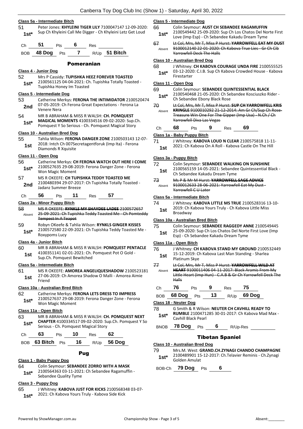### **Class 5a - Intermediate Bitch**

51 Peter Jones: **KHYLEINI TIGER LILY** 7100047147 12-09-2020: 1st\* Sup Ch Khyleini Call Me Digger - Ch Khyleini Letz Get Loud

BOB **48 Dog** Pts **7** R/Up **51 Bitch**

## Pomeranian

- **Class 4 - Junior Dog** 52 Mrs P Cassidy: **TUPISHKA HEEZ FOREVER TOASTED** 2100561125 04-04-2021: Ch. Tupishka Totally Toasted - 1st\* <sup>2100561125</sup> 04-04-2021: Cr<br>Tupishka Honey Im Toasted **Class 5 - Intermediate Dog** 53 Catherine Merkys: **FERONA THE INTIMIDATOR** 2100520474 07-05-2019: Ch Ferona Great Expectations - Ferona La **2nd Venere Nera Venere** Nera 54 MR B ABRAHAM & MISS R WALSH: **CH. POMQUEST MAGICAL MOMENTS** 4100334516 09-02-2020: Sup.Ch. Pomquest Y So Serious - Ch. Pomquest Magical Story **1st\* Class 10 - Australian Bred Dog** 55 Tahlia Wilson: **FERONA DANGER ZONE** 2100503143 12-07- 2018: Intch Ch 007Secretagentforuk (Imp Ita) - Ferona **1st** <br>Diamonds R Xquisite **Class 11 - Open Dog** 56 Catherine Merkys: **CH FERONA WATCH OUT HERE I COME** 2100527635 29-08-2019: Ferona Danger Zone - Ferona Won Magic Moment **1st\*** 57 MS R OKEEFE: **CH TUPISHKA TEDDY TOASTED ME** 2100480394 29-07-2017: Ch Tupishka Totally Toasted - 2nd <sup>2100480394</sup><br>**2nd** ladanz Summer Breeze Ch **56** Pts **11** Res **57 Class 2a - Minor Puppy Bitch** 58 MS R OKEEFE: **RYNKLS MY SHAYDEE LADEE** 2100572657 25-09-2021: Ch Tupishka Teddy Toasted Me - Ch Pomteddy Tempest In A Teapot Absent 59 Robyn OKeefe & Tahlia Wilson: **RYNKLS GINGER KISSES** 2100572580 22-09-2021: Ch Tupishka Teddy Toasted Me - Roxypoms Lucy **1st\* Class 4a - Junior Bitch** 60 MR B ABRAHAM & MISS R WALSH: **POMQUEST PENTACLE** 4100351141 02-01-2021: Ch. Pomquest Pot O Gold - **1st** 4100351141 02-01-2021: Ch.<br>Sup.Ch. Pomquest Bewitched **Class 5a - Intermediate Bitch** 61 MS R OKEEFE: **AMOREA ANGELIQUESHADOW** 2100523181 27-06-2019: Ch Amorea Shadow O Malli - Amorea Aimie 1st <sup>27-06-</sup><br>Friend **Class 10a - Australian Bred Bitch** 62 Catherine Merkys: **FERONA LETS DRESS TO IMPRESS** 2100527637 29-08-2019: Ferona Danger Zone - Ferona Won Magic Moment **1st\* Class 11a - Open Bitch** 63 MR B ABRAHAM & MISS R WALSH: **CH. POMQUEST NEXT**
- **CHAPTER** 4100334517 09-02-2020: Sup.Ch. Pomquest Y So **1st\*** Serious - Ch. Pomquest Magical Story

| Ch. | 63                   | 10 | Res |               |
|-----|----------------------|----|-----|---------------|
|     | $ROR$ 63 Bitch $Pts$ |    |     | $R/1h$ 56 Doc |

## **63 BITCH** Pts **16** R/Up **56 DOG**

## Pug

## **Class 1 - Baby Puppy Dog**

- 64 Colin Seymour: **SEBANDEE ZORRO WITH A MASK**
- 2100564363 03-11-2021: Ch Sebandee Ragamuffin Sebandee Quality Tyme **1st\***

## **Class 3 - Puppy Dog**

65 J Whitney: **KABOVA JUST FOR KICKS** 2100568348 03-07- 1st\* 2021: Ch Kabova Yours Truly - Kabova Side Kick

## **Class 5 - Intermediate Dog**

- 66 Colin Seymour: **AUST CH SEBANDEE RAGAMUFFIN**
- 2100549442 25-09-2020: Sup Ch Los Chatos Del Norte First Love (Imp Esp) - Ch Sebandee Kakadu Dream Tyme **1st\***
- 67 Lt Col, Mrs, Mr T, Miss P Hurst: **YARROWFELL EAT MY DUST** 9100012140 22-01-2020: Ch Kabova True Lies - Gr Ch Cib Yarrowfell Deck The Halls Absent

## **Class 10 - Australian Bred Dog**

68 J Whitney: **CH KABOVA COURAGE UNDA FIRE** 2100555525 03-12-2020: C.I.B. Sup Ch Kabova Crowded House - Kabova Firestarter **1st\***

### **Class 11 - Open Dog**

| 69 | Colin Seymour: SEBANDEE QUINTESSENTIAL BLACK |  |  |
|----|----------------------------------------------|--|--|
|    |                                              |  |  |

- 2100540468 21-05-2020: Ch Sebandee Kosciuszko Rider 1st\* 2100540468 21-05-2020: Ch Sebandee Ebony Black Rose
- 70 Lt Col, Mrs, Mr T, Miss P Hurst: **SUP CH YARROWFELL KRIS KRINGLE** 9100010292 21-12-2014: Am Gr Ch/Sup Ch Rose-Treasure Win One For The Gipper (Imp Usa) - N.Ch / Ch Yarrowfell Diva Las Vegas Absent

| Ch | 68 | Pts | 9 | Res | 69 |
|----|----|-----|---|-----|----|
|    |    |     |   |     |    |

#### **Class 1a - Baby Puppy Bitch**

- 71 J Whitney: **KABOVA LOUD N CLEAR** 2100575818 11-11-
	- 2021: Ch Kabova On A Roll Kabova Castle On The Hill **1st**

## **Class 3a - Puppy Bitch**

- 72 Colin Seymour: **SEBANDEE WALKING ON SUNSHINE** 2100565159 14-05-2021: Sebandee Quintessential Black - 1st 2100303139 14-03-2021. Sebandee<br>Ch Sebandee Kakadu Dream Tyme
- 73 Ms P & Mr M Hurst: **YARROWFELL SAGE ADVICE** 9100012633 28-06-2021: Yarrowfell Eat My Dust - Yarrowfell C U Later Absent

#### **Class 5a - Intermediate Bitch**

| 74  | J Whitney: KABOVA LITTLE MS TRUE 2100528316 13-10-  |
|-----|-----------------------------------------------------|
| 1st | 2019: Ch Kabova Yours Truly - Ch Kabova Little Miss |
|     | Broadway                                            |

#### **Class 10a - Australian Bred Bitch**

| 75              | Colin Seymour: SEBANDEE RAGGEDY ANNE 2100549445         |
|-----------------|---------------------------------------------------------|
| 1 <sub>cf</sub> | 25-09-2020: Sup Ch Los Chatos Del Norte First Love (Imp |

Esp) - Ch Sebandee Kakadu Dream Tyme **1st**

## **Class 11a - Open Bitch**

- 76 J Whitney: **CH KABOVA STAND MY GROUND** 2100532449 15-12-2019: Ch Kabova Last Man Standing - Sharlea 1st <sup>15-12-2019: C</sup><br>Platinum Skye
- 77 Lt Col, Mrs, Mr T, Miss P Hurst: **YARROWFELL WILD AT HEART** 9100011406 04-11-2017: Black Aramis From My Little Heart (Imp Hun) - C.A.B & Gr Ch Yarrowfell Deck The Halls Absent

| Ch                             | 76                                                                                                                                | Pts        | 9  | Res      | 75     |  |  |  |
|--------------------------------|-----------------------------------------------------------------------------------------------------------------------------------|------------|----|----------|--------|--|--|--|
| <b>BOB</b>                     | 68 Dog                                                                                                                            | Pts        | 13 | R/Up     | 69 Dog |  |  |  |
| Class 18 - Neuter Dog          |                                                                                                                                   |            |    |          |        |  |  |  |
| 78<br>$1st*$                   | G Smith & R Wilson: NEUTER CH CAVHILL READY TO<br><b>RUMBLE 2100471285 30-01-2017: Ch Kabova Mad Max -</b><br>Cavhill Black Pearl |            |    |          |        |  |  |  |
| <b>BNOB</b>                    | 78 Dog                                                                                                                            | <b>Pts</b> | 6  | R/Up-Res |        |  |  |  |
| <b>Tibetan Spaniel</b>         |                                                                                                                                   |            |    |          |        |  |  |  |
| Class 10 - Australian Bred Dog |                                                                                                                                   |            |    |          |        |  |  |  |

79 Mrs.M. West: **GRAND.CH.ZYNAGI CHANDO CHAMPAGNE** 2100489901 15-12-2017: Ch.Telavier Reminis - Ch.Zynagi Golden Amulat **1st\***

BOB-Ch **79 Dog** Pts **6**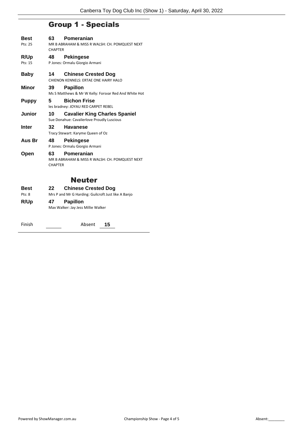## Group 1 - Specials

| Best<br>Pts: 25 | 63<br><b>CHAPTER</b> | Pomeranian<br>MR B ABRAHAM & MISS R WALSH: CH. POMQUEST NEXT                       |
|-----------------|----------------------|------------------------------------------------------------------------------------|
| R/Up<br>Pts: 15 | 48                   | <b>Pekingese</b><br>P Jones: Ormalu Giorgio Armani                                 |
| Baby            | 14                   | <b>Chinese Crested Dog</b><br>CHIFNON KENNELS: ERTAF ONE HAIRY HALO                |
| Minor           | 39                   | <b>Papillon</b><br>Ms S Matthews & Mr W Kelly: Forsvar Red And White Hot           |
| <b>Puppy</b>    | 5                    | <b>Bichon Frise</b><br>les bradney: JOYAU RED CARPET REBEL                         |
| <b>Junior</b>   | 10                   | <b>Cavalier King Charles Spaniel</b><br>Sue Donahue: Cavalierlove Proudly Luscious |
| <b>Inter</b>    | 32                   | <b>Havanese</b><br>Tracy Stewart: Karyme Queen of Oz                               |
| Aus Br          | 48                   | <b>Pekingese</b><br>P Jones: Ormalu Giorgio Armani                                 |
| Open            | 63<br><b>CHAPTER</b> | Pomeranian<br>MR B ABRAHAM & MISS R WALSH: CH. POMQUEST NEXT                       |
|                 |                      | <b>Neuter</b>                                                                      |
| Best<br>Pts: 8  | 22                   | <b>Chinese Crested Dog</b><br>Mrs P and Mr G Harding: Guilcroft Just like A Banjo  |
| R/Up            | 47                   | <b>Papillon</b>                                                                    |

Max Walker: Jay Jess Millie Walker

Finish Absent **15**